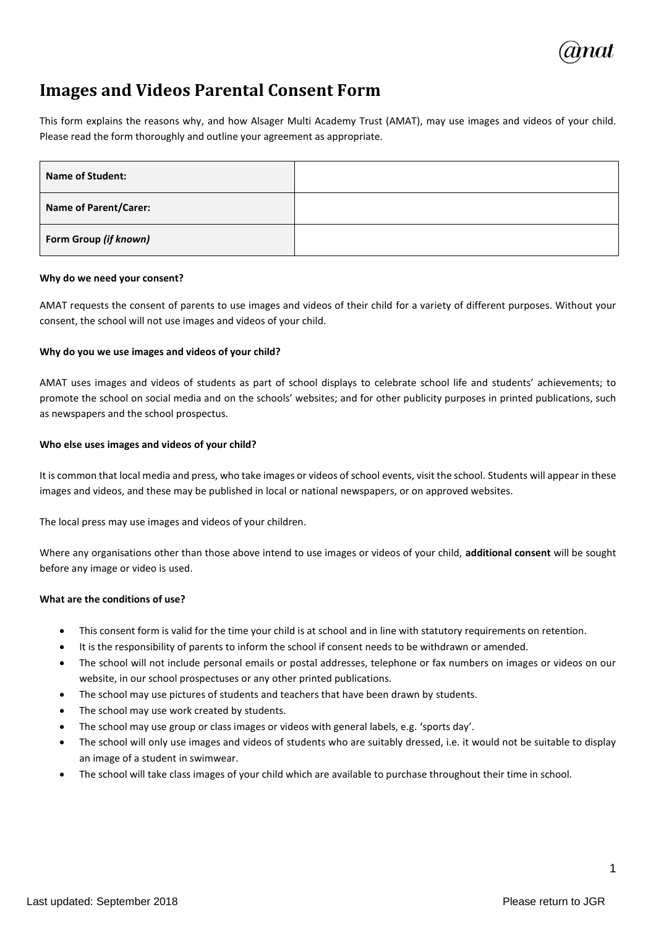

# **Images and Videos Parental Consent Form**

This form explains the reasons why, and how Alsager Multi Academy Trust (AMAT), may use images and videos of your child. Please read the form thoroughly and outline your agreement as appropriate.

| <b>Name of Student:</b>      |  |
|------------------------------|--|
| <b>Name of Parent/Carer:</b> |  |
| Form Group (if known)        |  |

#### **Why do we need your consent?**

AMAT requests the consent of parents to use images and videos of their child for a variety of different purposes. Without your consent, the school will not use images and videos of your child.

### **Why do you we use images and videos of your child?**

AMAT uses images and videos of students as part of school displays to celebrate school life and students' achievements; to promote the school on social media and on the schools' websites; and for other publicity purposes in printed publications, such as newspapers and the school prospectus.

### **Who else uses images and videos of your child?**

It is common that local media and press, who take images or videos of school events, visit the school. Students will appear in these images and videos, and these may be published in local or national newspapers, or on approved websites.

The local press may use images and videos of your children.

Where any organisations other than those above intend to use images or videos of your child, **additional consent** will be sought before any image or video is used.

### **What are the conditions of use?**

- This consent form is valid for the time your child is at school and in line with statutory requirements on retention.
- It is the responsibility of parents to inform the school if consent needs to be withdrawn or amended.
- The school will not include personal emails or postal addresses, telephone or fax numbers on images or videos on our website, in our school prospectuses or any other printed publications.
- The school may use pictures of students and teachers that have been drawn by students.
- The school may use work created by students.
- The school may use group or class images or videos with general labels, e.g. 'sports day'.
- The school will only use images and videos of students who are suitably dressed, i.e. it would not be suitable to display an image of a student in swimwear.
- The school will take class images of your child which are available to purchase throughout their time in school.